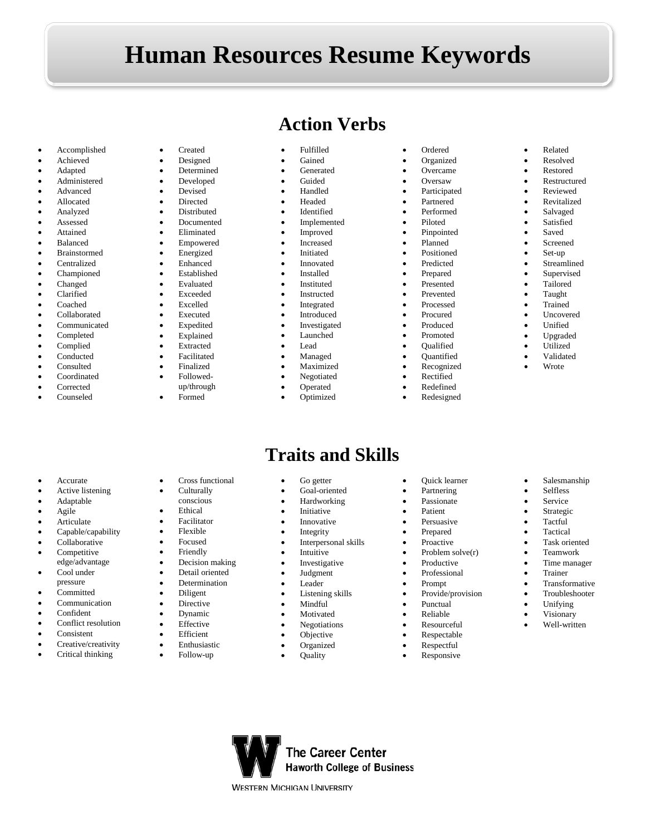## **Human Resources Resume Keywords**

- Accomplished
- Achieved
- Adapted
- Administered
- Advanced
- Allocated
- Analyzed
- **Assessed**
- Attained
- Balanced
- Brainstormed
- Centralized
- Championed
- Changed
- Clarified
- Coached
- Collaborated
- Communicated
- Completed
- Complied
- Conducted
- Consulted
- Coordinated
- **Corrected**
- Counseled

• Accurate • Active listening • Adaptable • Agile **Articulate** • Capable/capability • Collaborative Competitive edge/advantage Cool under pressure • Committed • Communication • Confident Conflict resolution

• Consistent

Creative/creativity • Critical thinking

- **Created**
- Designed
- Determined
- Developed • Devised
- Directed
- Distributed
- Documented
- Eliminated
- Empowered
- **Energized**
- Enhanced
- Established
- **Evaluated**
- Exceeded
- Excelled
- **Executed**
- **Expedited**
- Explained
- Extracted
- **Facilitated**
- Finalized
- Followed-
- up/through

Cross functional • Culturally conscious • Ethical **Facilitator** • Flexible • Focused • Friendly

Decision making • Detail oriented • Determination • Diligent **Directive** • Dynamic **Effective Efficient** • Enthusiastic • Follow-up

• Formed

- **Action Verbs**
	- Fulfilled
- Gained
- Generated
- Guided
- Handled
- Headed • Identified
- **Implemented**
- 
- Improved **Increased**
- **Initiated**
- **Innovated**
- **Installed**
- **Instituted**
- **Instructed**
- Integrated
- **Introduced**
- **Investigated**
- Launched
- Lead
- Managed
- Maximized
- Negotiated

**Traits and Skills**

Go getter Goal-oriented • Hardworking • Initiative **Innovative Integrity** • Interpersonal skills **Intuitive Investigative Judgment** • Leader

> Listening skills • Mindful **Motivated** • Negotiations **Objective** • Organized • Quality

**The Career Center Haworth College of Business** 

**WESTERN MICHIGAN UNIVERSITY** 

**Operated** • Optimized

- Ordered • Organized
- Overcame
- Oversaw
- Participated
- Partnered
- Performed • Piloted
- Pinpointed
- Planned
- **Positioned**
- Predicted
- Prepared
- Presented
- Prevented • Processed
	- Procured
	- Produced
- Promoted
- Qualified
- Quantified
- Recognized
- Rectified
- **Redefined**
- Redesigned

• Quick learner • Partnering **Passionate** • Patient • Persuasive • Prepared **Proactive** Problem solve(r) **Productive** • Professional • Prompt

• Provide/provision • Punctual • Reliable • Resourceful • Respectable • Respectful • Responsive

- Related
- Resolved
- Restored

• Salvaged **Satisfied** • Saved • Screened Set-up • Streamlined • Supervised • Tailored • Taught • Trained Uncovered • Unified • Upgraded • Utilized • Validated • Wrote

• Restructured • Reviewed • Revitalized

• Salesmanship **Selfless Service** • Strategic • Tactful • Tactical Task oriented • Teamwork Time manager • Trainer • Transformative **Troubleshooter** • Unifying **Visionary** • Well-written